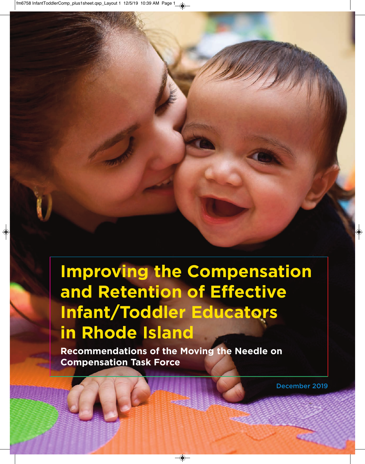# **Improving the Compensation and Retention of Effective Infant/Toddler Educators in Rhode Island**

**Recommendations of the Moving the Needle on Compensation Task Force**

**December 2019**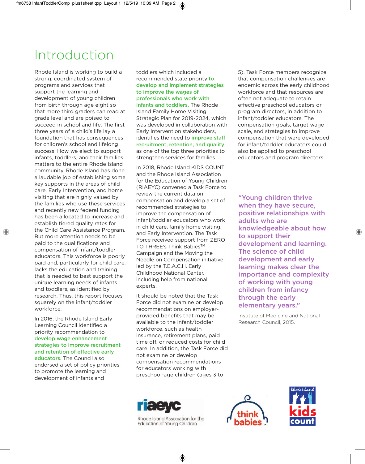## Introduction

Rhode Island is working to build a strong, coordinated system of programs and services that support the learning and development of young children from birth through age eight so that more third graders can read at grade level and are poised to succeed in school and life. The first three years of a child's life lay a foundation that has consequences for children's school and lifelong success. How we elect to support infants, toddlers, and their families matters to the entire Rhode Island community. Rhode Island has done a laudable job of establishing some key supports in the areas of child care, Early Intervention, and home visiting that are highly valued by the families who use these services and recently new federal funding has been allocated to increase and establish tiered quality rates for the Child Care Assistance Program. But more attention needs to be paid to the qualifications and compensation of infant/toddler educators. This workforce is poorly paid and, particularly for child care, lacks the education and training that is needed to best support the unique learning needs of infants and toddlers, as identified by research. Thus, this report focuses squarely on the infant/toddler workforce.

In 2016, the Rhode Island Early Learning Council identified a priority recommendation to **develop wage enhancement strategies to improve recruitment and retention of effective early educators.** The Council also endorsed a set of policy priorities to promote the learning and development of infants and

toddlers which included a recommended state priority **to develop and implement strategies to improve the wages of professionals who work with infants and toddlers.** The Rhode Island Family Home Visiting Strategic Plan for 2019-2024, which was developed in collaboration with Early Intervention stakeholders, identifies the need to **improve staff recruitment, retention, and quality** as one of the top three priorities to strengthen services for families.

In 2018, Rhode Island KIDS COUNT and the Rhode Island Association for the Education of Young Children (RIAEYC) convened a Task Force to review the current data on compensation and develop a set of recommended strategies to improve the compensation of infant/toddler educators who work in child care, family home visiting, and Early Intervention. The Task Force received support from ZERO TO THREE's Think Babies™ Campaign and the Moving the Needle on Compensation initiative led by the T.E.A.C.H. Early Childhood National Center, including help from national experts.

It should be noted that the Task Force did not examine or develop recommendations on employerprovided benefits that may be available to the infant/toddler workforce, such as health insurance, retirement plans, paid time off, or reduced costs for child care. In addition, the Task Force did not examine or develop compensation recommendations for educators working with preschool-age children (ages 3 to

5). Task Force members recognize that compensation challenges are endemic across the early childhood workforce and that resources are often not adequate to retain effective preschool educators or program directors, in addition to infant/toddler educators. The compensation goals, target wage scale, and strategies to improve compensation that were developed for infant/toddler educators could also be applied to preschool educators and program directors.

**"Young children thrive when they have secure, positive relationships with adults who are knowledgeable about how to support their development and learning. The science of child development and early learning makes clear the importance and complexity of working with young children from infancy through the early elementary years."** 

Institute of Medicine and National Research Council, 2015.



Rhode Island Association for the Education of Young Children



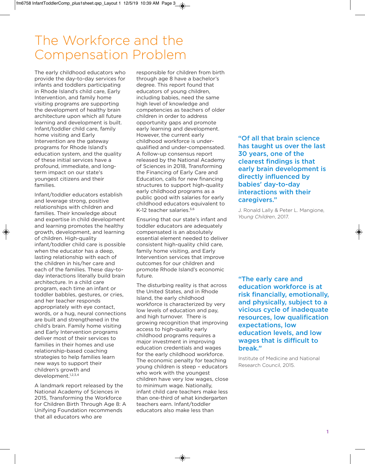### The Workforce and the Compensation Problem

The early childhood educators who provide the day-to-day services for infants and toddlers participating in Rhode Island's child care, Early Intervention, and family home visiting programs are supporting the development of healthy brain architecture upon which all future learning and development is built. Infant/toddler child care, family home visiting and Early Intervention are the gateway programs for Rhode Island's education system, and the quality of these initial services have a profound, immediate, and longterm impact on our state's youngest citizens and their families.

Infant/toddler educators establish and leverage strong, positive relationships with children and families. Their knowledge about and expertise in child development and learning promotes the healthy growth, development, and learning of children. High-quality infant/toddler child care is possible when the educator has a deep, lasting relationship with each of the children in his/her care and each of the families. These day-today interactions literally build brain architecture. In a child care program, each time an infant or toddler babbles, gestures, or cries, and her teacher responds appropriately with eye contact, words, or a hug, neural connections are built and strengthened in the child's brain. Family home visiting and Early Intervention programs deliver most of their services to families in their homes and use relationship-based coaching strategies to help families learn new ways to support their children's growth and development.1,2,3,4

A landmark report released by the National Academy of Sciences in 2015, Transforming the Workforce for Children Birth Through Age 8: A Unifying Foundation recommends that all educators who are

responsible for children from birth through age 8 have a bachelor's degree. This report found that educators of young children, including babies, need the same high level of knowledge and competencies as teachers of older children in order to address opportunity gaps and promote early learning and development. However, the current early childhood workforce is underqualified and under-compensated. A follow-up consensus report released by the National Academy of Sciences in 2018, Transforming the Financing of Early Care and Education, calls for new financing structures to support high-quality early childhood programs as a public good with salaries for early childhood educators equivalent to K-12 teacher salaries.<sup>5,6</sup>

Ensuring that our state's infant and toddler educators are adequately compensated is an absolutely essential element needed to deliver consistent high-quality child care, family home visiting, and Early Intervention services that improve outcomes for our children and promote Rhode Island's economic future.

The disturbing reality is that across the United States, and in Rhode Island, the early childhood workforce is characterized by very low levels of education and pay, and high turnover. There is growing recognition that improving access to high-quality early childhood programs requires a major investment in improving education credentials and wages for the early childhood workforce. The economic penalty for teaching young children is steep – educators who work with the youngest children have very low wages, close to minimum wage. Nationally, infant child care teachers make less than one-third of what kindergarten teachers earn. Infant/toddler educators also make less than

### **"Of all that brain science has taught us over the last 30 years, one of the clearest findings is that early brain development is directly influenced by babies' day-to-day interactions with their caregivers."**

J. Ronald Lally & Peter L. Mangione, *Young Children*, 2017.

**"The early care and education workforce is at risk financially, emotionally, and physically, subject to a vicious cycle of inadequate resources, low qualification expectations, low education levels, and low wages that is difficult to break."** 

Institute of Medicine and National Research Council, 2015.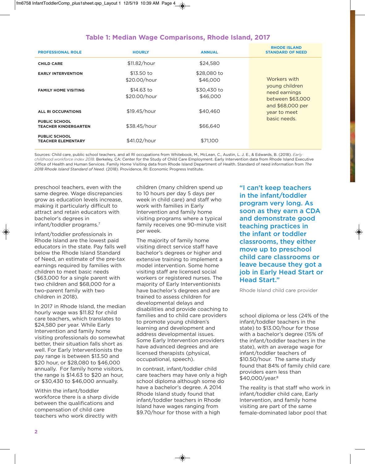### **Table 1: Median Wage Comparisons, Rhode Island, 2017**

| <b>PROFESSIONAL ROLE</b>                            | <b>HOURLY</b>              | <b>ANNUAL</b>           | <b>RHODE ISLAND</b><br><b>STANDARD OF NEED</b>                                                                          |
|-----------------------------------------------------|----------------------------|-------------------------|-------------------------------------------------------------------------------------------------------------------------|
| <b>CHILD CARE</b>                                   | \$11.82/hour               | \$24,580                |                                                                                                                         |
| <b>EARLY INTERVENTION</b>                           | \$13.50 to<br>\$20.00/hour | \$28,080 to<br>\$46,000 | Workers with<br>young children<br>need earnings<br>between \$63,000<br>and \$68,000 per<br>year to meet<br>basic needs. |
| <b>FAMILY HOME VISITING</b>                         | \$14.63 to<br>\$20.00/hour | \$30,430 to<br>\$46,000 |                                                                                                                         |
| ALL RI OCCUPATIONS                                  | \$19.45/hour               | \$40,460                |                                                                                                                         |
| <b>PUBLIC SCHOOL</b><br><b>TEACHER KINDERGARTEN</b> | \$38.45/hour               | \$66,640                |                                                                                                                         |
| <b>PUBLIC SCHOOL</b><br><b>TEACHER ELEMENTARY</b>   | \$41.02/hour               | \$71,100                |                                                                                                                         |

Sources: Child care, public school teachers, and all RI occupations from Whitebook, M., McLean, C., Austin, L. J. E., & Edwards, B. (2018). *Early childhood workforce index 2018.* Berkeley, CA: Center for the Study of Child Care Employment. Early Intervention data from Rhode Island Executive Office of Health and Human Services. Family Home Visiting data from Rhode Island Department of Health. Standard of need information from *The 2018 Rhode Island Standard of Need.* (2018). Providence, RI: Economic Progress Institute.

preschool teachers, even with the same degree. Wage discrepancies grow as education levels increase, making it particularly difficult to attract and retain educators with bachelor's degrees in infant/toddler programs.7

Infant/toddler professionals in Rhode Island are the lowest paid educators in the state. Pay falls well below the Rhode Island Standard of Need, an estimate of the pre-tax earnings required by families with children to meet basic needs (\$63,000 for a single parent with two children and \$68,000 for a two-parent family with two children in 2018).

In 2017 in Rhode Island, the median hourly wage was \$11.82 for child care teachers, which translates to \$24,580 per year. While Early Intervention and family home visiting professionals do somewhat better, their situation falls short as well. For Early Interventionists the pay range is between \$13.50 and \$20 hour, or \$28,080 to \$46,000 annually. For family home visitors, the range is \$14.63 to \$20 an hour, or \$30,430 to \$46,000 annually.

Within the infant/toddler workforce there is a sharp divide between the qualifications and compensation of child care teachers who work directly with

children (many children spend up to 10 hours per day 5 days per week in child care) and staff who work with families in Early Intervention and family home visiting programs where a typical family receives one 90-minute visit per week.

The majority of family home visiting direct service staff have bachelor's degrees or higher and extensive training to implement a model intervention. Some home visiting staff are licensed social workers or registered nurses. The majority of Early Interventionists have bachelor's degrees and are trained to assess children for developmental delays and disabilities and provide coaching to families and to child care providers to promote young children's learning and development and address developmental issues. Some Early Intervention providers have advanced degrees and are licensed therapists (physical, occupational, speech).

In contrast, infant/toddler child care teachers may have only a high school diploma although some do have a bachelor's degree. A 2014 Rhode Island study found that infant/toddler teachers in Rhode Island have wages ranging from \$9.70/hour for those with a high

**"I can't keep teachers in the infant/toddler program very long. As soon as they earn a CDA and demonstrate good teaching practices in the infant or toddler classrooms, they either move up to preschool child care classrooms or leave because they got a job in Early Head Start or Head Start."** 

Rhode Island child care provider

school diploma or less (24% of the infant/toddler teachers in the state) to \$13.00/hour for those with a bachelor's degree (15% of the infant/toddler teachers in the state), with an average wage for infant/toddler teachers of \$10.50/hour. The same study found that 84% of family child care providers earn less than \$40,000/year.<sup>8</sup>

The reality is that staff who work in infant/toddler child care, Early Intervention, and family home visiting are part of the same female-dominated labor pool that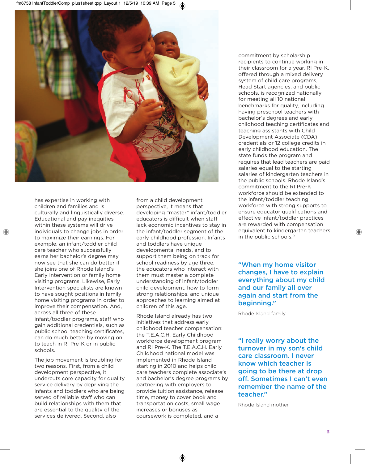

has expertise in working with children and families and is culturally and linguistically diverse. Educational and pay inequities within these systems will drive individuals to change jobs in order to maximize their earnings. For example, an infant/toddler child care teacher who successfully earns her bachelor's degree may now see that she can do better if she joins one of Rhode Island's Early Intervention or family home visiting programs. Likewise, Early Intervention specialists are known to have sought positions in family home visiting programs in order to improve their compensation. And, across all three of these infant/toddler programs, staff who gain additional credentials, such as public school teaching certificates, can do much better by moving on to teach in RI Pre-K or in public schools.

The job movement is troubling for two reasons. First, from a child development perspective, it undercuts core capacity for quality service delivery by depriving the infants and toddlers who are being served of reliable staff who can build relationships with them that are essential to the quality of the services delivered. Second, also

from a child development perspective, it means that developing "master" infant/toddler educators is difficult when staff lack economic incentives to stay in the infant/toddler segment of the early childhood profession. Infants and toddlers have unique developmental needs, and to support them being on track for school readiness by age three, the educators who interact with them must master a complete understanding of infant/toddler child development, how to form strong relationships, and unique approaches to learning aimed at children of this age.

Rhode Island already has two initiatives that address early childhood teacher compensation: the T.E.A.C.H. Early Childhood workforce development program and RI Pre-K. The T.E.A.C.H. Early Childhood national model was implemented in Rhode Island starting in 2010 and helps child care teachers complete associate's and bachelor's degree programs by partnering with employers to provide tuition assistance, release time, money to cover book and transportation costs, small wage increases or bonuses as coursework is completed, and a

commitment by scholarship recipients to continue working in their classroom for a year. RI Pre-K, offered through a mixed delivery system of child care programs, Head Start agencies, and public schools, is recognized nationally for meeting all 10 national benchmarks for quality, including having preschool teachers with bachelor's degrees and early childhood teaching certificates and teaching assistants with Child Development Associate (CDA) credentials or 12 college credits in early childhood education. The state funds the program and requires that lead teachers are paid salaries equal to the starting salaries of kindergarten teachers in the public schools. Rhode Island's commitment to the RI Pre-K workforce should be extended to the infant/toddler teaching workforce with strong supports to ensure educator qualifications and effective infant/toddler practices are rewarded with compensation equivalent to kindergarten teachers in the public schools.<sup>9</sup>

**"When my home visitor changes, I have to explain everything about my child and our family all over again and start from the beginning."** 

Rhode Island family

**"I really worry about the turnover in my son's child care classroom. I never know which teacher is going to be there at drop off. Sometimes I can't even remember the name of the teacher."** 

Rhode Island mother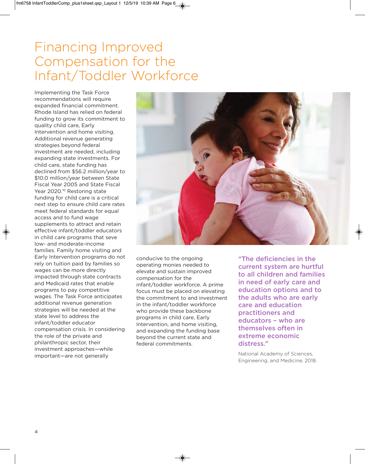## Financing Improved Compensation for the Infant/Toddler Workforce

Implementing the Task Force recommendations will require expanded financial commitment. Rhode Island has relied on federal funding to grow its commitment to quality child care, Early Intervention and home visiting. Additional revenue generating strategies beyond federal investment are needed, including expanding state investments. For child care, state funding has declined from \$56.2 million/year to \$10.0 million/year between State Fiscal Year 2005 and State Fiscal Year 2020.10 Restoring state funding for child care is a critical next step to ensure child care rates meet federal standards for equal access and to fund wage supplements to attract and retain effective infant/toddler educators in child care programs that seve low- and moderate-income families. Family home visiting and Early Intervention programs do not rely on tuition paid by families so wages can be more directly impacted through state contracts and Medicaid rates that enable programs to pay competitive wages. The Task Force anticipates additional revenue generation strategies will be needed at the state level to address the infant/toddler educator compensation crisis. In considering the role of the private and philanthropic sector, their investment approaches—while important—are not generally



conducive to the ongoing operating monies needed to elevate and sustain improved compensation for the infant/toddler workforce. A prime focus must be placed on elevating the commitment to and investment in the infant/toddler workforce who provide these backbone programs in child care, Early Intervention, and home visiting, and expanding the funding base beyond the current state and federal commitments.

**"The deficiencies in the current system are hurtful to all children and families in need of early care and education options and to the adults who are early care and education practitioners and educators – who are themselves often in extreme economic distress."** 

National Academy of Sciences, Engineering, and Medicine, 2018.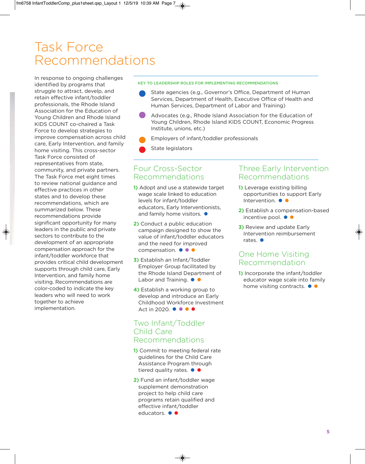## Task Force Recommendations

In response to ongoing challenges identified by programs that struggle to attract, develp, and retain effective infant/toddler professionals, the Rhode Island Association for the Education of Young Children and Rhode Island KIDS COUNT co-chaired a Task Force to develop strategies to improve compensation across child care, Early Intervention, and family home visiting. This cross-sector Task Force consisted of representatives from state, community, and private partners. The Task Force met eight times to review national guidance and effective practices in other states and to develop these recommendations, which are summarized below. These recommendations provide significant opportunity for many leaders in the public and private sectors to contribute to the development of an appropriate compensation approach for the infant/toddler workforce that provides critical child development supports through child care, Early Intervention, and family home visiting. Recommendations are color-coded to indicate the key leaders who will need to work together to achieve implementation.

#### **KEY TO LEADERSHIP ROLES FOR IMPLEMENTING RECOMMENDATIONS**

- State agencies (e.g., Governor's Office, Department of Human Services, Department of Health, Executive Office of Health and Human Services, Department of Labor and Training)
- Advocates (e.g., Rhode Island Association for the Education of Young Children, Rhode Island KIDS COUNT, Economic Progress Institute, unions, etc.)
- Employers of infant/toddler professionals
- State legislators

### Four Cross-Sector Recommendations

- **1)** Adopt and use a statewide target wage scale linked to education levels for infant/toddler educators, Early Interventionists, and family home visitors.  $\bullet$
- **2)** Conduct a public education campaign designed to show the value of infant/toddler educators and the need for improved compensation. ••••
- **3)** Establish an Infant/Toddler Employer Group facilitated by the Rhode Island Department of Labor and Training.  $\bullet$   $\bullet$
- **4)** Establish a working group to develop and introduce an Early Childhood Workforce Investment Act in 2020. •••••

### Two Infant/Toddler Child Care Recommendations

- **1)** Commit to meeting federal rate guidelines for the Child Care Assistance Program through tiered quality rates.  $\bullet$   $\bullet$
- **2)** Fund an infant/toddler wage supplement demonstration project to help child care programs retain qualified and effective infant/toddler educators. ••

### Three Early Intervention Recommendations

- **1)** Leverage existing billing opportunities to support Early Intervention. ••
- **2)** Establish a compensation-based incentive pool.  $\bullet \bullet$
- **3)** Review and update Early Intervention reimbursement rates.  $\bullet$

### One Home Visiting Recommendation

**1)** Incorporate the infant/toddler educator wage scale into family home visiting contracts.  $\bullet \bullet$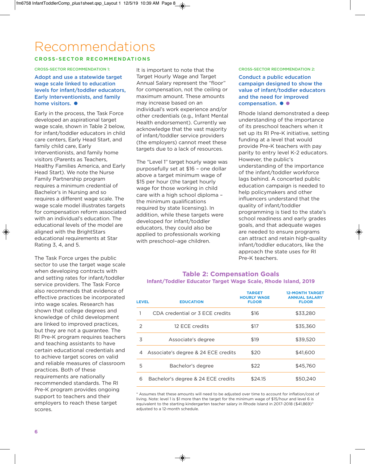## Recommendations

### **C R OSS - S E C TO R R E CO M M E N DAT I O N S**

#### **CROSS-SECTOR RECOMMENDATION 1:**

**Adopt and use a statewide target wage scale linked to education levels for infant/toddler educators, Early Interventionists, and family home visitors.**•

Early in the process, the Task Force developed an aspirational target wage scale, shown in Table 2 below, for infant/toddler educators in child care centers, Early Head Start, and family child care, Early Interventionists, and family home visitors (Parents as Teachers, Healthy Families America, and Early Head Start). We note the Nurse Family Partnership program requires a minimum credential of Bachelor's in Nursing and so requires a different wage scale. The wage scale model illustrates targets for compensation reform associated with an individual's education. The educational levels of the model are aligned with the BrightStars educational requirements at Star Rating 3, 4, and 5.

The Task Force urges the public sector to use the target wage scale when developing contracts with and setting rates for infant/toddler service providers. The Task Force also recommends that evidence of effective practices be incorporated into wage scales. Research has shown that college degrees and knowledge of child development are linked to improved practices, but they are not a guarantee. The RI Pre-K program requires teachers and teaching assistants to have certain educational credentials and to achieve target scores on valid and reliable measures of classroom practices. Both of these requirements are nationally recommended standards. The RI Pre-K program provides ongoing support to teachers and their employers to reach these target scores.

It is important to note that the Target Hourly Wage and Target Annual Salary represent the "floor" for compensation, not the ceiling or maximum amount. These amounts may increase based on an individual's work experience and/or other credentials (e.g., Infant Mental Health endorsement). Currently we acknowledge that the vast majority of infant/toddler service providers (the employers) cannot meet these targets due to a lack of resources.

The "Level 1" target hourly wage was purposefully set at \$16 – one dollar above a target minimum wage of \$15 per hour (the target hourly wage for those working in child care with a high school diploma – the minimum qualifications required by state licensing). In addition, while these targets were developed for infant/toddler educators, they could also be applied to professionals working with preschool–age children.

#### **CROSS-SECTOR RECOMMENDATION 2:**

**Conduct a public education campaign designed to show the value of infant/toddler educators and the need for improved** compensation. ••

Rhode Island demonstrated a deep understanding of the importance of its preschool teachers when it set up its RI Pre-K initiative, setting funding at a level that would provide Pre-K teachers with pay parity to entry level K-2 educators. However, the public's understanding of the importance of the infant/toddler workforce lags behind. A concerted public education campaign is needed to help policymakers and other influencers understand that the quality of infant/toddler programming is tied to the state's school readiness and early grades goals, and that adequate wages are needed to ensure programs can attract and retain high-quality infant/toddler educators, like the approach the state uses for RI Pre-K teachers.

### **Table 2: Compensation Goals Infant/Toddler Educator Target Wage Scale, Rhode Island, 2019**

| <b>LEVEL</b>  | <b>EDUCATION</b>                    | <b>TARGET</b><br><b>HOURLY WAGE</b><br><b>FLOOR</b> | <b>12-MONTH TARGET</b><br><b>ANNUAL SALARY</b><br><b>FLOOR</b> |
|---------------|-------------------------------------|-----------------------------------------------------|----------------------------------------------------------------|
|               | CDA credential or 3 FCF credits     | \$16                                                | \$33,280                                                       |
| $\mathcal{P}$ | 12 FCF credits                      | \$17                                                | \$35,360                                                       |
| 3             | Associate's degree                  | \$19                                                | \$39,520                                                       |
| 4             | Associate's degree & 24 ECE credits | \$20                                                | \$41,600                                                       |
| 5             | Bachelor's degree                   | \$22                                                | \$45,760                                                       |
| 6             | Bachelor's degree & 24 ECE credits  | \$24.15                                             | \$50.240                                                       |

\* Assumes that these amounts will need to be adjusted over time to account for inflation/cost of living. Note: level 1 is \$1 more than the target for the minimum wage of \$15/hour and level 6 is equivalent to the starting kindergarten teacher salary in Rhode Island in 2017-2018 (\$41,869)<sup>11</sup> adjusted to a 12-month schedule.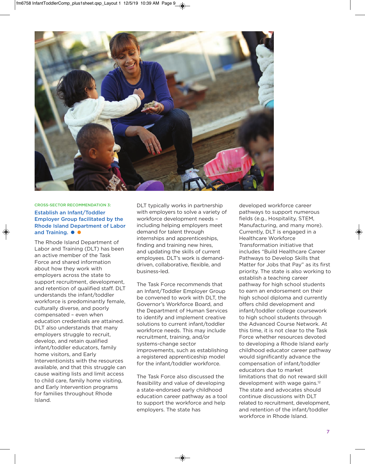

#### **CROSS-SECTOR RECOMMENDATION 3:**

### **Establish an Infant/Toddler Employer Group facilitated by the Rhode Island Department of Labor** and Training.  $\bullet \bullet$

The Rhode Island Department of Labor and Training (DLT) has been an active member of the Task Force and shared information about how they work with employers across the state to support recruitment, development, and retention of qualified staff. DLT understands the infant/toddler workforce is predominantly female, culturally diverse, and poorly compensated – even when education credentials are attained. DLT also understands that many employers struggle to recruit, develop, and retain qualified infant/toddler educators, family home visitors, and Early Interventionists with the resources available, and that this struggle can cause waiting lists and limit access to child care, family home visiting, and Early Intervention programs for families throughout Rhode Island.

DLT typically works in partnership with employers to solve a variety of workforce development needs – including helping employers meet demand for talent through internships and apprenticeships, finding and training new hires, and updating the skills of current employees. DLT's work is demanddriven, collaborative, flexible, and business-led.

The Task Force recommends that an Infant/Toddler Employer Group be convened to work with DLT, the Governor's Workforce Board, and the Department of Human Services to identify and implement creative solutions to current infant/toddler workforce needs. This may include recruitment, training, and/or systems-change sector improvements, such as establishing a registered apprenticeship model for the infant/toddler workforce.

The Task Force also discussed the feasibility and value of developing a state-endorsed early childhood education career pathway as a tool to support the workforce and help employers. The state has

developed workforce career pathways to support numerous fields (e.g., Hospitality, STEM, Manufacturing, and many more). Currently, DLT is engaged in a Healthcare Workforce Transformation initiative that includes "Build Healthcare Career Pathways to Develop Skills that Matter for Jobs that Pay" as its first priority. The state is also working to establish a teaching career pathway for high school students to earn an endorsement on their high school diploma and currently offers child development and infant/toddler college coursework to high school students through the Advanced Course Network. At this time, it is not clear to the Task Force whether resources devoted to developing a Rhode Island early childhood educator career pathway would significantly advance the compensation of infant/toddler educators due to market limitations that do not reward skill development with wage gains.<sup>12</sup> The state and advocates should continue discussions with DLT related to recruitment, development, and retention of the infant/toddler workforce in Rhode Island.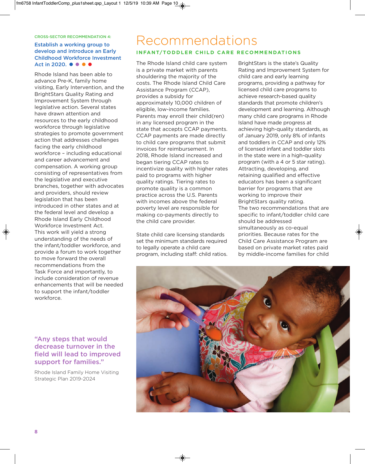#### **CROSS-SECTOR RECOMMENDATION 4:**

### **Establish a working group to develop and introduce an Early Childhood Workforce Investment** Act in 2020. •••••

Rhode Island has been able to advance Pre-K, family home visiting, Early Intervention, and the BrightStars Quality Rating and Improvement System through legislative action. Several states have drawn attention and resources to the early childhood workforce through legislative strategies to promote government action that addresses challenges facing the early childhood workforce – including educational and career advancement and compensation. A working group consisting of representatives from the legislative and executive branches, together with advocates and providers, should review legislation that has been introduced in other states and at the federal level and develop a Rhode Island Early Childhood Workforce Investment Act. This work will yield a strong understanding of the needs of the infant/toddler workforce, and provide a forum to work together to move forward the overall recommendations from the Task Force and importantly, to include consideration of revenue enhancements that will be needed to support the infant/toddler workforce.

### **"Any steps that would decrease turnover in the field will lead to improved support for families."**

Rhode Island Family Home Visiting Strategic Plan 2019-2024

### Recommendations **INFANT/TODDLER CHILD CARE RECOMMENDATIONS**

The Rhode Island child care system is a private market with parents shouldering the majority of the costs. The Rhode Island Child Care Assistance Program (CCAP), provides a subsidy for approximately 10,000 children of eligible, low-income families. Parents may enroll their child(ren) in any licensed program in the state that accepts CCAP payments. CCAP payments are made directly to child care programs that submit invoices for reimbursement. In 2018, Rhode Island increased and began tiering CCAP rates to incentivize quality with higher rates paid to programs with higher quality ratings. Tiering rates to promote quality is a common practice across the U.S. Parents with incomes above the federal poverty level are responsible for making co-payments directly to the child care provider.

State child care licensing standards set the minimum standards required to legally operate a child care program, including staff: child ratios.

BrightStars is the state's Quality Rating and Improvement System for child care and early learning programs, providing a pathway for licensed child care programs to achieve research-based quality standards that promote children's development and learning. Although many child care programs in Rhode Island have made progress at achieving high-quality standards, as of January 2019, only 8% of infants and toddlers in CCAP and only 12% of licensed infant and toddler slots in the state were in a high-quality program (with a 4 or 5 star rating). Attracting, developing, and retaining qualified and effective educators has been a significant barrier for programs that are working to improve their BrightStars quality rating. The two recommendations that are specific to infant/toddler child care should be addressed simultaneously as co-equal priorities. Because rates for the Child Care Assistance Program are based on private market rates paid by middle-income families for child

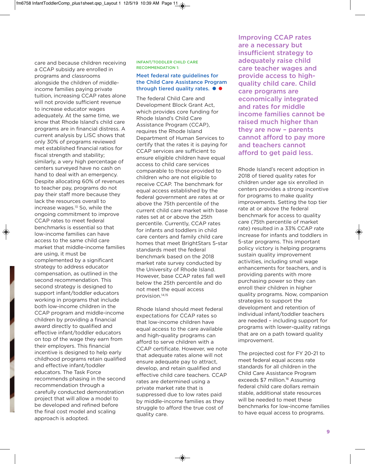care and because children receiving a CCAP subsidy are enrolled in programs and classrooms alongside the children of middleincome families paying private tuition, increasing CCAP rates alone will not provide sufficient revenue to increase educator wages adequately. At the same time, we know that Rhode Island's child care programs are in financial distress. A current analysis by LISC shows that only 30% of programs reviewed met established financial ratios for fiscal strength and stability; similarly, a very high percentage of centers surveyed have no cash on hand to deal with an emergency. Despite allocating 60% of revenues to teacher pay, programs do not pay their staff more because they lack the resources overall to increase wages.13 So, while the ongoing commitment to improve CCAP rates to meet federal benchmarks is essential so that low-income families can have access to the same child care market that middle-income families are using, it must be complemented by a significant strategy to address educator compensation, as outlined in the second recommendation. This second strategy is designed to support infant/toddler educators working in programs that include both low-income children in the CCAP program and middle-income children by providing a financial award directly to qualified and effective infant/toddler educators on top of the wage they earn from their employers. This financial incentive is designed to help early childhood programs retain qualified and effective infant/toddler educators. The Task Force recommends phasing in the second recommendation through a carefully conducted demonstration project that will allow a model to be developed and refined before the final cost model and scaling approach is adopted.

#### **INFANT/TODDLER CHILD CARE RECOMMENDATION 1:**

### **Meet federal rate guidelines for the Child Care Assistance Program through tiered quality rates. ● ●**

The federal Child Care and Development Block Grant Act, which provides core funding for Rhode Island's Child Care Assistance Program (CCAP), requires the Rhode Island Department of Human Services to certify that the rates it is paying for CCAP services are sufficient to ensure eligible children have equal access to child care services comparable to those provided to children who are not eligible to receive CCAP. The benchmark for equal access established by the federal government are rates at or above the 75th percentile of the current child care market with base rates set at or above the 25th percentile. Currently, CCAP rates for infants and toddlers in child care centers and family child care homes that meet BrightStars 5-star standards meet the federal benchmark based on the 2018 market rate survey conducted by the University of Rhode Island. However, base CCAP rates fall well below the 25th percentile and do not meet the equal access provision.14,15

Rhode Island should meet federal expectations for CCAP rates so that low-income children have equal access to the care available and high-quality programs can afford to serve children with a CCAP certificate. However, we note that adequate rates alone will not ensure adequate pay to attract, develop, and retain qualified and effective child care teachers. CCAP rates are determined using a private market rate that is suppressed due to low rates paid by middle-income families as they struggle to afford the true cost of quality care.

**Improving CCAP rates are a necessary but insufficient strategy to adequately raise child care teacher wages and provide access to highquality child care. Child care programs are economically integrated and rates for middle income families cannot be raised much higher than they are now – parents cannot afford to pay more and teachers cannot afford to get paid less.**

Rhode Island's recent adoption in 2018 of tiered quality rates for children under age six enrolled in centers provides a strong incentive for programs to make quality improvements. Setting the top tier rate at or above the federal benchmark for access to quality care (75th percentile of market rate) resulted in a 33% CCAP rate increase for infants and toddlers in 5-star programs. This important policy victory is helping programs sustain quality improvement activities, including small wage enhancements for teachers, and is providing parents with more purchasing power so they can enroll their children in higher quality programs. Now, companion strategies to support the development and retention of individual infant/toddler teachers are needed – including support for programs with lower-quality ratings that are on a path toward quality improvement.

The projected cost for FY 20-21 to meet federal equal access rate standards for all children in the Child Care Assistance Program exceeds \$7 million.<sup>16</sup> Assuming federal child care dollars remain stable, additional state resources will be needed to meet these benchmarks for low-income families to have equal access to programs.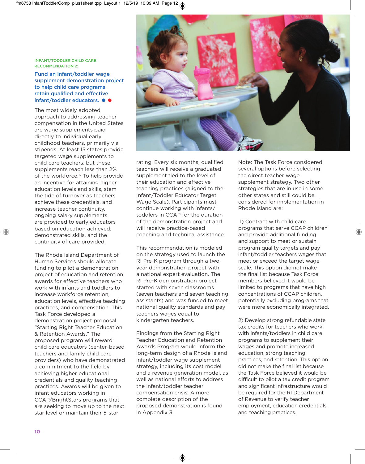#### **INFANT/TODDLER CHILD CARE RECOMMENDATION 2:**

**Fund an infant/toddler wage supplement demonstration project to help child care programs retain qualified and effective infant/toddler educators.** ••

The most widely adopted approach to addressing teacher compensation in the United States are wage supplements paid directly to individual early childhood teachers, primarily via stipends. At least 15 states provide targeted wage supplements to child care teachers, but these supplements reach less than 2% of the workforce.17 To help provide an incentive for attaining higher education levels and skills, stem the tide of turnover as teachers achieve these credentials, and increase teacher continuity, ongoing salary supplements are provided to early educators based on education achieved, demonstrated skills, and the continuity of care provided.

The Rhode Island Department of Human Services should allocate funding to pilot a demonstration project of education and retention awards for effective teachers who work with infants and toddlers to increase workforce retention, education levels, effective teaching practices, and compensation. This Task Force developed a demonstration project proposal, "Starting Right Teacher Education & Retention Awards." The proposed program will reward child care educators (center-based teachers and family child care providers) who have demonstrated a commitment to the field by achieving higher educational credentials and quality teaching practices. Awards will be given to infant educators working in CCAP/BrightStars programs that are seeking to move up to the next star level or maintain their 5-star



rating. Every six months, qualified teachers will receive a graduated supplement tied to the level of their education and effective teaching practices (aligned to the Infant/Toddler Educator Target Wage Scale). Participants must continue working with infants/ toddlers in CCAP for the duration of the demonstration project and will receive practice-based coaching and technical assistance.

This recommendation is modeled on the strategy used to launch the RI Pre-K program through a twoyear demonstration project with a national expert evaluation. The RI Pre-K demonstration project started with seven classrooms (seven teachers and seven teaching assistants) and was funded to meet national quality standards and pay teachers wages equal to kindergarten teachers.

Findings from the Starting Right Teacher Education and Retention Awards Program would inform the long-term design of a Rhode Island infant/toddler wage supplement strategy, including its cost model and a revenue generation model, as well as national efforts to address the infant/toddler teacher compensation crisis. A more complete description of the proposed demonstration is found in Appendix 3.

Note: The Task Force considered several options before selecting the direct teacher wage supplement strategy. Two other strategies that are in use in some other states and still could be considered for implementation in Rhode Island are:

1) Contract with child care programs that serve CCAP children and provide additional funding and support to meet or sustain program quality targets and pay infant/toddler teachers wages that meet or exceed the target wage scale. This option did not make the final list because Task Force members believed it would be limited to programs that have high concentrations of CCAP children, potentially excluding programs that were more economically integrated.

2) Develop strong refundable state tax credits for teachers who work with infants/toddlers in child care programs to supplement their wages and promote increased education, strong teaching practices, and retention. This option did not make the final list because the Task Force believed it would be difficult to pilot a tax credit program and significant infrastructure would be required for the RI Department of Revenue to verify teacher employment, education credentials, and teaching practices.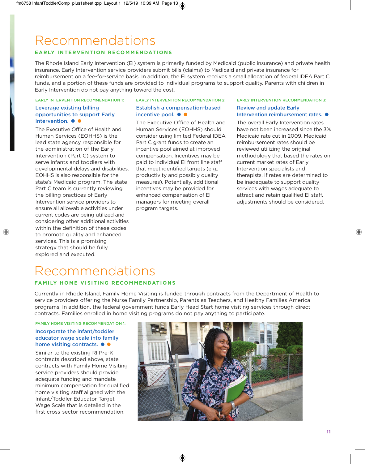## Recommendations

### **EARLY INTERVENTION RECOMMENDATIONS**

The Rhode Island Early Intervention (EI) system is primarily funded by Medicaid (public insurance) and private health insurance. Early Intervention service providers submit bills (claims) to Medicaid and private insurance for reimbursement on a fee-for-service basis. In addition, the EI system receives a small allocation of federal IDEA Part C funds, and a portion of these funds are provided to individual programs to support quality. Parents with children in Early Intervention do not pay anything toward the cost.

**EARLY INTERVENTION RECOMMENDATION 1:**

### **Leverage existing billing opportunities to support Early** Intervention. ••

The Executive Office of Health and Human Services (EOHHS) is the lead state agency responsible for the administration of the Early Intervention (Part C) system to serve infants and toddlers with developmental delays and disabilities. EOHHS is also responsible for the state's Medicaid program. The state Part C team is currently reviewing the billing practices of Early Intervention service providers to ensure all allowable activities under current codes are being utilized and considering other additional activities within the definition of these codes to promote quality and enhanced services. This is a promising strategy that should be fully explored and executed.

#### **EARLY INTERVENTION RECOMMENDATION 2:**

### **Establish a compensation-based incentive pool. ● ●**

The Executive Office of Health and Human Services (EOHHS) should consider using limited Federal IDEA Part C grant funds to create an incentive pool aimed at improved compensation. Incentives may be paid to individual EI front line staff that meet identified targets (e.g., productivity and possibly quality measures). Potentially, additional incentives may be provided for enhanced compensation of EI managers for meeting overall program targets.

#### **EARLY INTERVENTION RECOMMENDATION 3:**

### **Review and update Early Intervention reimbursement rates. ●**

The overall Early Intervention rates have not been increased since the 3% Medicaid rate cut in 2009. Medicaid reimbursement rates should be reviewed utilizing the original methodology that based the rates on current market rates of Early Intervention specialists and therapists. If rates are determined to be inadequate to support quality services with wages adequate to attract and retain qualified EI staff, adjustments should be considered.

## Recommendations

### **FAMILY HOME VISITING RECOMMENDATIONS**

Currently in Rhode Island, Family Home Visiting is funded through contracts from the Department of Health to service providers offering the Nurse Family Partnership, Parents as Teachers, and Healthy Families America programs. In addition, the federal government funds Early Head Start home visiting services through direct contracts. Families enrolled in home visiting programs do not pay anything to participate.

### **FAMILY HOME VISITING RECOMMENDATION 1:**

#### **Incorporate the infant/toddler educator wage scale into family home visiting contracts.** ••

Similar to the existing RI Pre-K contracts described above, state contracts with Family Home Visiting service providers should provide adequate funding and mandate minimum compensation for qualified home visiting staff aligned with the Infant/Toddler Educator Target Wage Scale that is detailed in the first cross-sector recommendation.

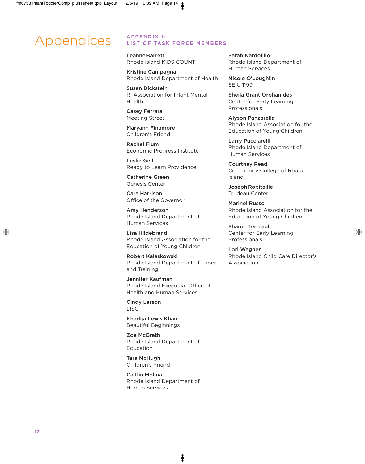## Appendices **APPENDIX 1:**

### **LIST OF TASK FORCE MEMBERS**

**LeanneBarrett** Rhode Island KIDS COUNT

**Kristine Campagna** Rhode Island Department of Health

**Susan Dickstein** RI Association for Infant Mental Health

**Casey Ferrara** Meeting Street

**Maryann Finamore** Children's Friend

**Rachel Flum** Economic Progress Institute

**Leslie Gell** Ready to Learn Providence

**Catherine Green** Genesis Center

**Cara Harrison** Office of the Governor

**Amy Henderson** Rhode Island Department of Human Services

**Lisa Hildebrand** Rhode Island Association for the Education of Young Children

**Robert Kalaskowski** Rhode Island Department of Labor and Training

**Jennifer Kaufman** Rhode Island Executive Office of Health and Human Services

**Cindy Larson** LISC

**Khadija Lewis Khan** Beautiful Beginnings

**Zoe McGrath** Rhode Island Department of Education

**Tara McHugh** Children's Friend

**Caitlin Molina** Rhode Island Department of Human Services

**Sarah Nardolillo** Rhode Island Department of Human Services

**Nicole O'Loughlin** SEIU 1199

**Sheila Grant Orphanides** Center for Early Learning Professionals

**Alyson Panzarella** Rhode Island Association for the Education of Young Children

**Larry Pucciarelli** Rhode Island Department of Human Services

**Courtney Read** Community College of Rhode Island

**Joseph Robitaille** Trudeau Center

**Marinel Russo** Rhode Island Association for the Education of Young Children

**Sharon Terreault** Center for Early Learning Professionals

**Lori Wagner** Rhode Island Child Care Director's Association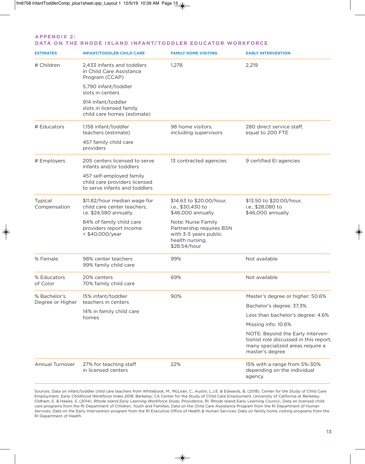#### **A P P E N D I X 2 :**  DATA ON THE RHODE ISLAND INFANT/TODDLER EDUCATOR WORKFORCE

| <b>ESTIMATES</b>        | <b>INFANT/TODDLER CHILD CARE</b>                                                           | <b>FAMILY HOME VISITING</b>                                                                                | <b>EARLY INTERVENTION</b>                                                                                                         |
|-------------------------|--------------------------------------------------------------------------------------------|------------------------------------------------------------------------------------------------------------|-----------------------------------------------------------------------------------------------------------------------------------|
| # Children              | 2,433 infants and toddlers<br>in Child Care Assistance<br>Program (CCAP)                   | 1,278                                                                                                      | 2,219                                                                                                                             |
|                         | 5,790 infant/toddler<br>slots in centers                                                   |                                                                                                            |                                                                                                                                   |
|                         | 914 infant/toddler<br>slots in licensed family<br>child care homes (estimate)              |                                                                                                            |                                                                                                                                   |
| # Educators             | 1,158 infant/toddler<br>teachers (estimate)                                                | 98 home visitors,<br>including supervisors                                                                 | 280 direct service staff,<br>equal to 200 FTE                                                                                     |
|                         | 457 family child care<br>providers                                                         |                                                                                                            |                                                                                                                                   |
| # Employers             | 205 centers licensed to serve<br>infants and/or toddlers                                   | 13 contracted agencies                                                                                     | 9 certified El agencies                                                                                                           |
|                         | 457 self-employed family<br>child care providers licensed<br>to serve infants and toddlers |                                                                                                            |                                                                                                                                   |
| Typical<br>Compensation | \$11.82/hour median wage for<br>child care center teachers,<br>i.e. \$24,580 annually      | \$14.63 to \$20.00/hour,<br>i.e., \$30,430 to<br>\$46,000 annually                                         | \$13.50 to \$20.00/hour,<br>i.e., \$28,080 to<br>\$46,000 annually                                                                |
|                         | 84% of family child care<br>providers report income<br>< \$40,000/year                     | Note: Nurse Family<br>Partnership requires BSN<br>with 3-5 years public<br>health nursing,<br>\$28.54/hour |                                                                                                                                   |
| % Female                | 98% center teachers<br>99% family child care                                               | 99%                                                                                                        | Not available                                                                                                                     |
| % Educators<br>of Color | 20% centers<br>70% family child care                                                       | 69%                                                                                                        | Not available                                                                                                                     |
| % Bachelor's            | 15% infant/toddler                                                                         | 90%                                                                                                        | Master's degree or higher: 50.6%                                                                                                  |
| Degree or Higher        | teachers in centers                                                                        |                                                                                                            | Bachelor's degree: 37.3%                                                                                                          |
|                         | 14% in family child care<br>homes                                                          |                                                                                                            | Less than bachelor's degree: 4.6%                                                                                                 |
|                         |                                                                                            |                                                                                                            | Missing info: 10.6%                                                                                                               |
|                         |                                                                                            |                                                                                                            | NOTE: Beyond the Early Interven-<br>tionist role discussed in this report,<br>many specialized areas require a<br>master's degree |
| Annual Turnover         | 27% for teaching staff<br>in licensed centers                                              | 22%                                                                                                        | 15% with a range from 5%-30%<br>depending on the individual<br>agency                                                             |

Sources: Data on infant/toddler child care teachers from Whitebook, M., McLean, C., Austin, L.J.E. & Edwards, B. (2018). Center for the Study of Child Care Employment, *Early Childhood Workforce Index 2018.* Berkeley: CA Center for the Study of Child Care Employment, University of California at Berkeley; Oldham, E. & Hawes, S. (2014). *Rhode Island Early Learning Workforce Study.* Providence, RI: Rhode Island Early Learning Council.; Data on licensed child care programs from the RI Department of Children, Youth and Families; Data on the Child Care Assistance Program from the RI Department of Human Services; Data on the Early Intervention program from the RI Executive Office of Health & Human Services; Data on family home visiting programs from the RI Department of Health.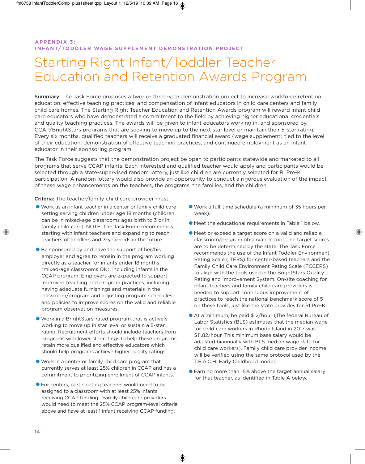### **A P P E N D I X 3 : INFANT/TODDLER WAGE SUPPLEMENT DEMONSTRATION PROJECT**

## Starting Right Infant/Toddler Teacher Education and Retention Awards Program

**Summary:** The Task Force proposes a two- or three-year demonstration project to increase workforce retention, education, effective teaching practices, and compensation of infant educators in child care centers and family child care homes. The Starting Right Teacher Education and Retention Awards program will reward infant child care educators who have demonstrated a commitment to the field by achieving higher educational credentials and quality teaching practices. The awards will be given to infant educators working in, and sponsored by, CCAP/BrightStars programs that are seeking to move up to the next star level or maintain their 5-star rating. Every six months, qualified teachers will receive a graduated financial award (wage supplement) tied to the level of their education, demonstration of effective teaching practices, and continued employment as an infant educator in their sponsoring program.

The Task Force suggests that the demonstration project be open to participants statewide and marketed to all programs that serve CCAP infants. Each interested and qualified teacher would apply and participants would be selected through a state-supervised random lottery, just like children are currently selected for RI Pre-K participation. A random lottery would also provide an opportunity to conduct a rigorous evaluation of the impact of these wage enhancements on the teachers, the programs, the families, and the children.

**Criteria:** The teacher/family child care provider must:

- •Work as an infant teacher in a center or family child care setting serving children under age 18 months (children can be in mixed-age classrooms ages birth to 3 or in family child care). NOTE: The Task Force recommends starting with infant teachers and expanding to reach teachers of toddlers and 3-year-olds in the future.
- **•** Be sponsored by and have the support of her/his employer and agree to remain in the program working directly as a teacher for infants under 18 months (mixed-age classrooms OK), including infants in the CCAP program. Employers are expected to support improved teaching and program practices, including having adequate furnishings and materials in the classroom/program and adjusting program schedules and policies to improve scores on the valid and reliable program observation measures.
- •Work in a BrightStars-rated program that is actively working to move up in star level or sustain a 5-star rating. Recruitment efforts should include teachers from programs with lower star ratings to help these programs retain more qualified and effective educators which should help programs achieve higher quality ratings.
- •Work in a center or family child care program that currently serves at least 25% children in CCAP and has a commitment to prioritizing enrollment of CCAP infants.
- •For centers, participating teachers would need to be assigned to a classroom with at least 25% infants receiving CCAP funding. Family child care providers would need to meet the 25% CCAP program-level criteria above and have at least 1 infant receiving CCAP funding.
- •Work a full-time schedule (a minimum of 35 hours per week).
- •Meet the educational requirements in Table 1 below.
- •Meet or exceed a target score on a valid and reliable classroom/program observation tool. The target scores are to be determined by the state. The Task Force recommends the use of the Infant Toddler Environment Rating Scale (ITERS) for center-based teachers and the Family Child Care Environment Rating Scale (FCCERS) to align with the tools used in the BrightStars Quality Rating and Improvement System. On-site coaching for infant teachers and family child care providers is needed to support continuous improvement of practices to reach the national benchmark score of 5 on these tools, just like the state provides for RI Pre-K.
- •At a minimum, be paid \$12/hour (The federal Bureau of Labor Statistics (BLS) estimates that the median wage for child care workers in Rhode Island in 2017 was \$11.82/hour. This minimum base salary would be adjusted biannually with BLS median wage data for child care workers). Family child care provider income will be verified using the same protocol used by the T.E.A.C.H. Early Childhood model.
- •Earn no more than 15% above the target annual salary for that teacher, as identified in Table A below.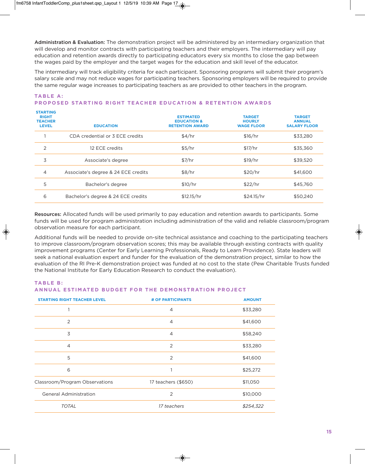**Administration & Evaluation:** The demonstration project will be administered by an intermediary organization that will develop and monitor contracts with participating teachers and their employers. The intermediary will pay education and retention awards directly to participating educators every six months to close the gap between the wages paid by the employer and the target wages for the education and skill level of the educator.

The intermediary will track eligibility criteria for each participant. Sponsoring programs will submit their program's salary scale and may not reduce wages for participating teachers. Sponsoring employers will be required to provide the same regular wage increases to participating teachers as are provided to other teachers in the program.

### **STARTING RIGHT ESTIMATED TARGET TARGET TEACHER EDUCATION & HOURLY ANNUAL LEVEL EDUCATION RETENTION AWARD WAGE FLOOR SALARY FLOOR** 1 CDA credential or 3 ECE credits  $$4/hr$  \$16/hr \$16, \$16 \$33,280 2 12 ECE credits \$5/hr \$17/hr \$35,360 3 Associate's degree \$7/hr \$19/hr \$39,520 4 Associate's degree & 24 ECE credits  $\frac{1}{2}$   $\frac{1}{8}$  and  $\frac{1}{8}$  and  $\frac{1}{8}$  Associate's degree & 24 ECE credits 5 Bachelor's degree 510/hr \$22/hr \$45,760 6 Bachelor's degree & 24 ECE credits \$12.15/hr \$24.15/hr \$50,240

### **TABLE A: PROPOSED STARTING RIGHT TEACHER EDUCATION & RETENTION AWARDS**

**Resources:** Allocated funds will be used primarily to pay education and retention awards to participants. Some funds will be used for program administration including administration of the valid and reliable classroom/program observation measure for each participant.

Additional funds will be needed to provide on-site technical assistance and coaching to the participating teachers to improve classroom/program observation scores; this may be available through existing contracts with quality improvement programs (Center for Early Learning Professionals, Ready to Learn Providence). State leaders will seek a national evaluation expert and funder for the evaluation of the demonstration project, similar to how the evaluation of the RI Pre-K demonstration project was funded at no cost to the state (Pew Charitable Trusts funded the National Institute for Early Education Research to conduct the evaluation).

**TA B L E B :**

### **ANNUAL ESTIMATED BUDGET FOR THE DEMONSTRATION PROJECT**

| <b>STARTING RIGHT TEACHER LEVEL</b> | # OF PARTICIPANTS   | <b>AMOUNT</b> |
|-------------------------------------|---------------------|---------------|
|                                     | 4                   | \$33,280      |
| 2                                   | $\overline{4}$      | \$41,600      |
| 3                                   | $\overline{4}$      | \$58,240      |
| $\overline{4}$                      | 2                   | \$33,280      |
| 5                                   | 2                   | \$41,600      |
| 6                                   | 1                   | \$25,272      |
| Classroom/Program Observations      | 17 teachers (\$650) | \$11,050      |
| <b>General Administration</b>       | $\overline{2}$      | \$10,000      |
| <b>TOTAL</b>                        | 17 teachers         | \$254,322     |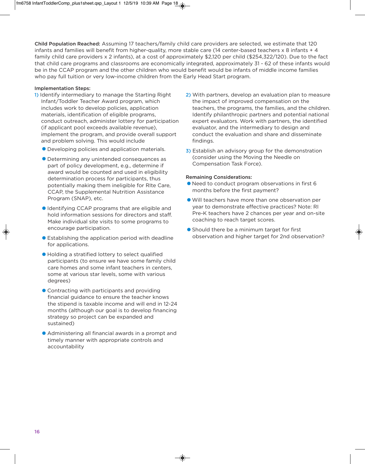**Child Population Reached:** Assuming 17 teachers/family child care providers are selected, we estimate that 120 infants and families will benefit from higher-quality, more stable care (14 center-based teachers x 8 infants + 4 family child care providers x 2 infants), at a cost of approximately \$2,120 per child (\$254,322/120). Due to the fact that child care programs and classrooms are economically integrated, approximately 31 - 62 of these infants would be in the CCAP program and the other children who would benefit would be infants of middle income families who pay full tuition or very low-income children from the Early Head Start program.

### **Implementation Steps:**

- **1)** Identify intermediary to manage the Starting Right Infant/Toddler Teacher Award program, which includes work to develop policies, application materials, identification of eligible programs, conduct outreach, administer lottery for participation (if applicant pool exceeds available revenue), implement the program, and provide overall support and problem solving. This would include
	- •Developing policies and application materials.
	- •Determining any unintended consequences as part of policy development, e.g., determine if award would be counted and used in eligibility determination process for participants, thus potentially making them ineligible for RIte Care, CCAP, the Supplemental Nutrition Assistance Program (SNAP), etc.
	- **•** Identifying CCAP programs that are eligible and hold information sessions for directors and staff. Make individual site visits to some programs to encourage participation.
	- •Establishing the application period with deadline for applications.
	- •Holding a stratified lottery to select qualified participants (to ensure we have some family child care homes and some infant teachers in centers, some at various star levels, some with various degrees)
	- Contracting with participants and providing financial guidance to ensure the teacher knows the stipend is taxable income and will end in 12-24 months (although our goal is to develop financing strategy so project can be expanded and sustained)
	- •Administering all financial awards in a prompt and timely manner with appropriate controls and accountability
- **2)** With partners, develop an evaluation plan to measure the impact of improved compensation on the teachers, the programs, the families, and the children. Identify philanthropic partners and potential national expert evaluators. Work with partners, the identified evaluator, and the intermediary to design and conduct the evaluation and share and disseminate findings.
- **3)** Establish an advisory group for the demonstration (consider using the Moving the Needle on Compensation Task Force).

#### **Remaining Considerations:**

- •Need to conduct program observations in first 6 months before the first payment?
- •Will teachers have more than one observation per year to demonstrate effective practices? Note: RI Pre-K teachers have 2 chances per year and on-site coaching to reach target scores.
- Should there be a minimum target for first observation and higher target for 2nd observation?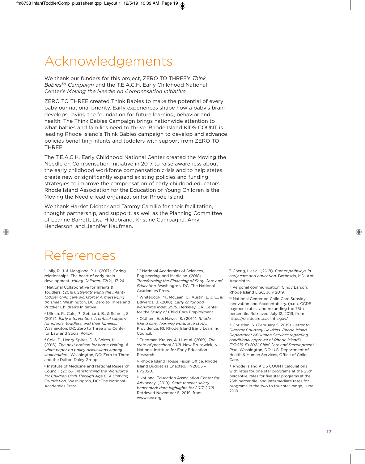## Acknowledgements

We thank our funders for this project, ZERO TO THREE's *Think BabiesTM Campaign* and the T.E.A.C.H. Early Childhood National Center's *Moving the Needle on Compensation Initiative.*

ZERO TO THREE created Think Babies to make the potential of every baby our national priority. Early experiences shape how a baby's brain develops, laying the foundation for future learning, behavior and health. The Think Babies Campaign brings nationwide attention to what babies and families need to thrive. Rhode Island KIDS COUNT is leading Rhode Island's Think Babies campaign to develop and advance policies benefiting infants and toddlers with support from ZERO TO THREE.

The T.E.A.C.H. Early Childhood National Center created the Moving the Needle on Compensation Initiative in 2017 to raise awareness about the early childhood workforce compensation crisis and to help states create new or significantly expand existing policies and funding strategies to improve the compensation of early childood educators. Rhode Island Association for the Education of Young Children is the Moving the Needle lead organization for Rhode Island.

We thank Harriet Dichter and Tammy Camillo for their facilitation, thought partnership, and support, as well as the Planning Committee of Leanne Barrett, Lisa Hildebrand, Kristine Campagna, Amy Henderson, and Jennifer Kaufman.

## References

<sup>1</sup> Lally, R. J. & Mangione, P. L. (2017). Caring relationships: The heart of early brain development. *Young Children, 72*(2), 17-24.

<sup>2</sup> National Collaborative for Infants & Toddlers. (2019). *Strengthening the infanttoddler child care workforce: A messaging tip sheet.* Washington, DC: Zero to Three and Pritzker Children's Initiative.

<sup>3</sup> Ullrich, R., Cole, P., Gebhard, B., & Schmit, S. (2017). *Early Intervention: A critical support for infants, toddlers, and their families.* Washington, DC: Zero to Three and Center for Law and Social Policy.

<sup>4</sup> Cole, P., Henry-Spires, D. & Spires, M. J. (2016). *The next horizon for home visiting: A white paper on policy discussions among stakeholders.* Washington, DC: Zero to Three and the Dalton Daley Group.

<sup>5</sup> Institute of Medicine and National Research Council. (2015). *Transforming the Workforce for Children Birth Through Age 8: A Unifying Foundation.* Washington, DC: The National Academies Press.

6,17 National Academies of Sciences, Engineering, and Medicine. (2018). *Transforming the Financing of Early Care and Education.* Washington, DC: The National Academies Press.

<sup>7</sup> Whitebook, M., McLean, C., Austin, L. J. E., & Edwards, B. (2018). *Early childhood workforce index 2018.* Berkeley, CA: Center for the Study of Child Care Employment.

<sup>8</sup> Oldham, E. & Hawes, S. (2014). *Rhode Island early learning workforce study.* Providence, RI: Rhode Island Early Learning Council.

<sup>9</sup> Friedman-Krauss, A. H. et al. (2019). *The state of preschool 2018.* New Brunswick, NJ: National Institute for Early Education Research.

<sup>10</sup> Rhode Island House Fiscal Office. Rhode Island Budget as Enacted, FY2005 – FY2020.

<sup>11</sup> National Education Association Center for Advocacy. (2019). *State teacher salary benchmark data highlights for 2017-2018*. Retrieved November 5, 2019, from www.nea.org

<sup>12</sup> Cheng, I. et al. (2018). *Career pathways in early care and education.* Bethesda, MD: Abt Associates.

<sup>13</sup> Personal communication, Cindy Larson, Rhode Island LISC, July 2019.

<sup>14</sup> National Center on Child Care Subsidy Innovation and Accountability. (n.d.). CCDF payment rates: Understanding the 75th percentile. Retrieved July 12, 2019, from https://childcareta.acf.hhs.gov/

<sup>15</sup> Christian, S. (February 5, 2019). *Letter to Director Courtney Hawkins, Rhode Island Department of Human Services regarding conditional approval of Rhode Island's FY2019-FY2021 Child Care and Development Plan.* Washington, DC: U.S. Department of Health & Human Services, Office of Child Care.

<sup>16</sup> Rhode Island KIDS COUNT calculations with rates for one star programs at the 25th percentile, rates for five star programs at the 75th percentile, and intermediate rates for programs in the two to four star range, June 2019.